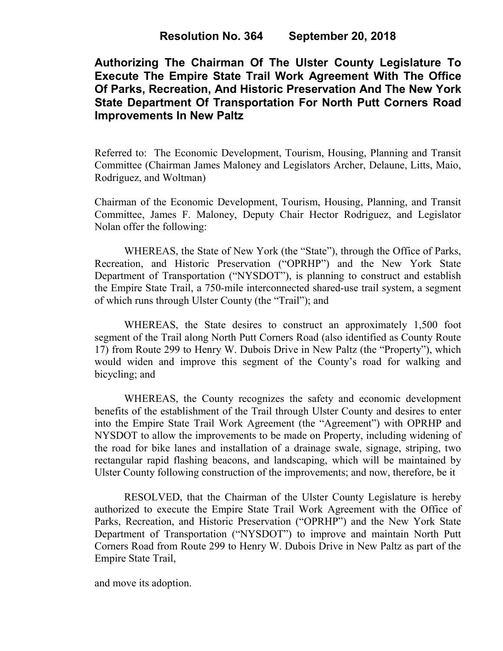**Authorizing The Chairman Of The Ulster County Legislature To Execute The Empire State Trail Work Agreement With The Office Of Parks, Recreation, And Historic Preservation And The New York State Department Of Transportation For North Putt Corners Road Improvements In New Paltz**

Referred to: The Economic Development, Tourism, Housing, Planning and Transit Committee (Chairman James Maloney and Legislators Archer, Delaune, Litts, Maio, Rodriguez, and Woltman)

Chairman of the Economic Development, Tourism, Housing, Planning, and Transit Committee, James F. Maloney, Deputy Chair Hector Rodriguez, and Legislator Nolan offer the following:

WHEREAS, the State of New York (the "State"), through the Office of Parks, Recreation, and Historic Preservation ("OPRHP") and the New York State Department of Transportation ("NYSDOT"), is planning to construct and establish the Empire State Trail, a 750-mile interconnected shared-use trail system, a segment of which runs through Ulster County (the "Trail"); and

WHEREAS, the State desires to construct an approximately 1,500 foot segment of the Trail along North Putt Corners Road (also identified as County Route 17) from Route 299 to Henry W. Dubois Drive in New Paltz (the "Property"), which would widen and improve this segment of the County's road for walking and bicycling; and

WHEREAS, the County recognizes the safety and economic development benefits of the establishment of the Trail through Ulster County and desires to enter into the Empire State Trail Work Agreement (the "Agreement") with OPRHP and NYSDOT to allow the improvements to be made on Property, including widening of the road for bike lanes and installation of a drainage swale, signage, striping, two rectangular rapid flashing beacons, and landscaping, which will be maintained by Ulster County following construction of the improvements; and now, therefore, be it

RESOLVED, that the Chairman of the Ulster County Legislature is hereby authorized to execute the Empire State Trail Work Agreement with the Office of Parks, Recreation, and Historic Preservation ("OPRHP") and the New York State Department of Transportation ("NYSDOT") to improve and maintain North Putt Corners Road from Route 299 to Henry W. Dubois Drive in New Paltz as part of the Empire State Trail,

and move its adoption.